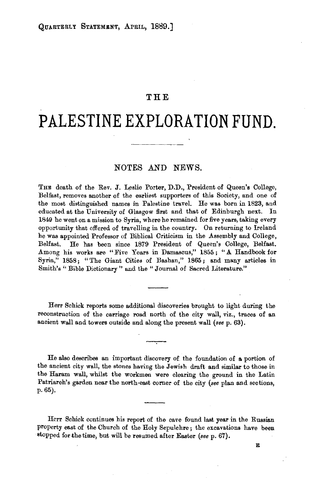## **THE**

# **PALESTINE EXPLORATION FUND.**

### NOTES AND NEWS.

THE death of the Rev. J. Leslie Porter, D.D., President of Queen's College,  $B_{\text{tot}}$  and the earlier of the earliest supporters of the earlier of the earlier of  $\mathcal{L}_{\text{tot}}$  $t_{\text{max}}$ , removes another of the earliest supporters of this bootevy, and one of the most distinguished names in Palestine travel. He was born in 1823, and educated at the University of Glasgow first and that of Edinburgh next. In 1849 he went on a mission to Syria, where he remained for five years, taking every opportunity that offered of the country. Where the remainded for the country cannot even y he was appointed by the wavening in the country. On returning to include he was appointed Professor of Biblical Criticism in the Assembly and College, Belfast.<br>Belfast. He has been since 1879 President of Queen's College, Belfast. Among his works are "Five Years in Damascus," 1855; "A Handbook for  $\frac{1}{3}$  is works are "Five Tears in Damascus, 1859; A Handbook for  $\frac{1}{3}$ Fia, 1098; "The Criant Cities of Dashah, 1009; and many arti-<br>"Journal of The "Journal of Sacred Literature."

Herr Schick reports some additional discoveries brought to light during the reconstruction of the carrier of the city wall, viz., the construction of the city was constructed on the city was constructed on the city was constructed on the city was constructed on the city was constructed on the city reconstruction of the carriage road north of the city wall, viz., traces of an ancient wall and towers outside and along the present wall *(see p. 63)*.

He also describes an important discovery of the foundation of a portion of the also describes an important discovery of the foundation of a portion of the ancient city wall, the stones having the Jewish draft and similar to those in the Haram wall, whilst the workmen were clearing the ground in the Latin Patriarch's garden near the north-east corner of the city (see plan and sections, p. 65).

 $\mathcal{L}$  . Here, is report of the cave found last, year in the cave found last, year in the Russian in the Russian in the Russian in the Russian in the Russian in the Russian in the Russian in the Russian in the Russian i property exclude continues has report of the cave found last, year in the russian property east of the Church of the Holy Sepulchre; the excavations have been stopped for the time, but will be resumed after Easter *(see p. 67)*.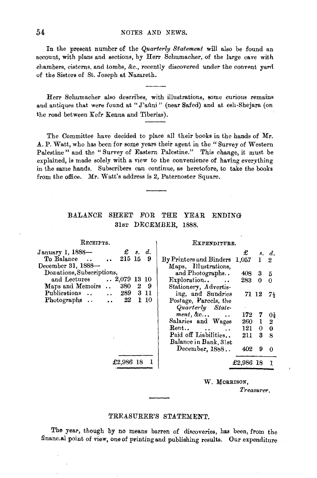In the present number of the *Quarterly Statement* will also be found an In the present number of the  $\sqrt{u}$  statement will also be found and large cave with  $\frac{1}{2}$ . come, which promo and secretary,  $c_f$  are a continuously of the large cave when  $ambers, cisterns, and to mps, \alpha c., recently$ 

 $\sim$  Schurnacher also describes, with illustrations, some curious remains, some curious remains, some curious remains remains remains remains remains remains remains remains remains remains remains remains remains remains Herr Schumacher also describes, with illustrations, some curious remains and antiques that were found at "J'aûni" (near Safed) and at esh-Shejara (on the road between Kefr Kenna and Tiberias).

The Committee have decided to place all their books in the hands of Mr. The Committee have decided to place all their books in the hands of Mr. A. P. Watt, who has been for some years their agent in the "Survey of Western Palestine" and the "Survey of Eastern Palestine." This change, it must be explained, is made solely with a view to the convenience of having everything in the same hands. Subscribers can continue, as heretofore, to take the books from the office. Mr. Watt's address is 2, Paternoster Square.

## BALANCE SHEET FOR THE YEAR ENDING 31sT DECEMBER, 1888.

| RECEIPTS.                                           | EXPENDITURE.                                                  |  |  |  |  |
|-----------------------------------------------------|---------------------------------------------------------------|--|--|--|--|
| $\pounds$ s. d.<br>January 1, 1888-                 | £<br>s, d.                                                    |  |  |  |  |
| $\,\cdot\,$ 215 15<br>To Balance<br>9               | By Printers and Binders 1,057<br>$\mathbf{1}$<br>$\mathbf{2}$ |  |  |  |  |
| December 31, 1888-                                  | Maps, Illustrations,                                          |  |  |  |  |
| Donations, Subscriptions,                           | and Photographs<br>408<br>$3\quad 5$                          |  |  |  |  |
| $\ldots$ 2,079 13 10<br>and Lectures                | Exploration<br>283<br>0<br>$\Omega$                           |  |  |  |  |
| 380 2 9<br>Maps and Memoirs<br>$\ddot{\phantom{a}}$ | Stationery, Advertis-                                         |  |  |  |  |
| Publications   289 3 11                             | ing, and Sundries<br>71 12<br>$7\frac{1}{3}$                  |  |  |  |  |
| 22<br>1 10<br>Photographs<br>$\ddot{\phantom{a}}$   | Postage, Parcels, the                                         |  |  |  |  |
|                                                     | Quarterly State-                                              |  |  |  |  |
|                                                     | $ment, \&c$<br>172<br>7<br>0 <sub>1</sub>                     |  |  |  |  |
|                                                     | Salaries and Wages<br>260 1<br>- 2                            |  |  |  |  |
|                                                     | Rent<br>121<br>0<br>$\mathbf{0}$                              |  |  |  |  |
|                                                     | Paid off Liabilities<br>211<br>38                             |  |  |  |  |
|                                                     | Balance in Bank, 31st                                         |  |  |  |  |
|                                                     | December, 1888<br>402<br>9<br>$\Omega$                        |  |  |  |  |
|                                                     |                                                               |  |  |  |  |
| £2,986 18 1                                         | £2,986 18                                                     |  |  |  |  |
|                                                     |                                                               |  |  |  |  |
|                                                     |                                                               |  |  |  |  |

#### W. MORRISON.

*Treasuret<.* 

#### TREASURER'S STATEMENT.

The year, though by no means barren of discoveries, has been, from the find year, though by no means barren of discoveries, has been from the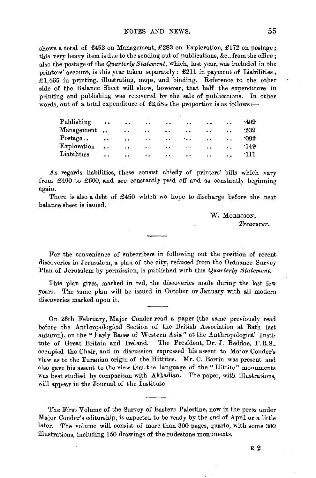shews a total of £452 on Management, £283 on Exploration, £172 on postage; this very heavy item is due to the sending out of publications, &c., from the office; also the postage of the *Quarterly Statement,* which, last year, was included in the printers' account, is this year taken separately: £211 in payment of Liabilities; £1,465 in printing, illustrating, maps, and binding. Reference to the other side of the Balance Sheet will show, however, that half the expenditure in printing and publishing was recovered by the sale of publications. In other words, out of a total expenditure of  $\pounds2,584$  the proportion is as follows:-

| Publishing          | $\ddot{\phantom{0}}$ | . .                  | $\ddot{\phantom{0}}$ | $\ddot{\phantom{1}}$ | $\ddot{\phantom{0}}$ | $\ddot{\phantom{a}}$ | $\ddot{\phantom{a}}$ | ·409   |
|---------------------|----------------------|----------------------|----------------------|----------------------|----------------------|----------------------|----------------------|--------|
| Management          | $\ddotsc$            | . .                  | $\ddot{\phantom{0}}$ | . .                  | $\ddot{\phantom{a}}$ | $\ddot{\phantom{a}}$ | $\cdot$ .            | $-239$ |
| $\rm Postage\ldots$ | $\ddot{\bullet}$     | $\ddot{\phantom{0}}$ | . .                  | $\cdot$ .            | $\cdot$ .            | $\ddot{\phantom{0}}$ | . .                  | -092   |
| Exploration         | $\ddot{\phantom{0}}$ | $\cdot$ .            | $\ddot{\phantom{a}}$ | $\ddot{\phantom{0}}$ | $\ddot{\phantom{0}}$ | $\ddot{\phantom{0}}$ | $\ddot{\phantom{a}}$ | ·149   |
| Liabilities         | . .                  | $\cdot$ .            | $\ddot{\phantom{1}}$ | $\bullet$            | $\ddot{\phantom{a}}$ | $\ddot{\phantom{a}}$ | $\ddot{\phantom{a}}$ | 111    |
|                     |                      |                      |                      |                      |                      |                      |                      |        |

.As regards liabilities, these consist chiefly of printers' bills which vary from £400 to £600, and are constantly paid off and as constantly beginning again.

There is also a debt of  $£450$  which we hope to discharge before the next balance sheet is issued.

> W. MORRISON, *Treasurer.*

For the convenience of subscribers in following out the position of recent discoveries in Jerusalem, a plan of the city, reduced from the Ordnance Survey Plan of Jerusalem by permission, is published with this *Quarterly Statement.* 

This plan gives, marked in red, the discoveries made during the last few years. The same plan will be issued in October or January with all modern discoveries marked upon it.

On 26th February, Major Conder read a paper (the same previously read before the Anthropological Section of the British Association at Bath last autumn), on the "Early Races of Western Asia" at the Anthropological Institute of Great Britain and Ireland. The President, Dr. J. Beddoe, F.R.S., occupied the Chair, and in discussion expressed his assent to Major Conder's view as to the Turanian origin of the Hittites. Mr. C. Bertin was present and also gave his assent to the view that the language of the " Hittite" monuments was best studied by comparison with Akkadian. The paper, with illustrations, will appear in the Journal of the Institute.

The First Volume of the Survey of Eastern Palestine, now in the press under Major Conder's editorship, is expected to be ready by the end of April or a little later. The volume will consist of more than 300 pages, quarto, with some 300 illustrations, including 150 drawings of the rudestone monuments.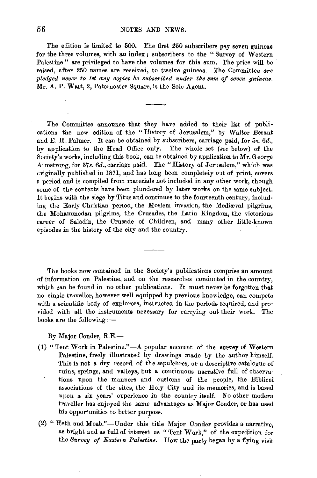The edition is limited to 500. The first 250 subscribers pay seven guineas for the three volumes, with an index; subscribers to the " Survey of Western Palestine " are privileged to have the volumes for this sum. The price will be raised, after 250 names are received, to twelve guineas. The Committee *are pledged never to let any copies be subscribed under tke sum of seven guineas.*  Mr. A. P. Watt, 2, Paternoster Square, is the Sole Agent.

The Committee announce that they have added to their list of publications the new edition of the "History of Jerusalem," by Waiter Besant and E. H. Palmer. It can be obtained by subscribers, carriage paid, for 5s. *6d.,*  by application to the Head Office only. The whole set *(see* below) of the Society's works, including this book, can be obtained by application to  $Mr.$  George A1mstrong, for *37s. 6d.,* carriage paid. The "History of Jerusalem," which was criginally published in 1871, and has long been completely out of print, covers a period and is compiled from materials not included in any other work, though some of the contents have been plundered by later works on the same subject. It begins with the siege by Titus and continues to the fourteenth century, including the Early Christian period, the Moslem invasion, the Medieval pilgrims, the Mohammedan pilgrims, the Crusades, the Latin Kingdom, the victorious career of Saladin, the Crusade of Children, and many other little-known episodes in the history of the city and the country.

The books now contained in the Society's publications comprise an amount of information on Palestine, and on the researches condueted in the country, which can be found in no other publications. It must never be forgotten that no single truveller, however well equipped by previous knowledge, can compete with a scientific body of explorers, instructed in the periods required, and provided with all the instruments necessary for carrying out their work. The ooks are the following  $:$ 

By Major Conder, R.E.-

- (1) "Tent Work in Palestine."-A popular account of the survey of Western Palestine, freely illustrated by drawings made by the author himself. This is not a dry record of the sepulchres, or a descriptive catalogue of ruins, springs, and valleys, but a continuous narrative full of observations upon the manners and customs of the people, the Biblicol associations of the sites, the Holy City and its memories, and is based upon a six years' experience in the country itself. No other modern traveller has enjoyed the same advantages as Major Conder, or has used his opportunities to better purpose.
- (2) "Heth and Moab."-Under this title Major Conder provides a narrative, as bright and as full of interest as "Tent Work," of the expedition for the *Survey of Eastern Palestine*. How the party began by a flying visit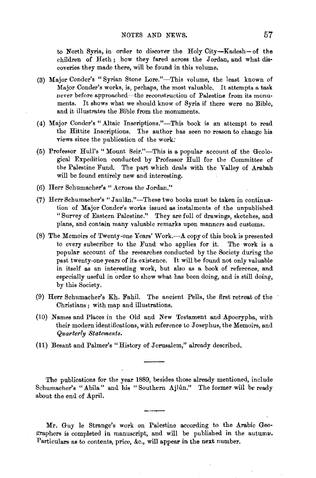to North Syria, in order to discover the Holy City-Kadesh-of the children of Heth; how they fared across the Jordan, and what dis· coveries they made there, will be found in this volume.

- (3) Major Conder's "Syrian Stone Lore."-This volume, the least known of Major Conder's works, is, perhaps, the most valuable. It attempts a task never before approached-the reconstruction of Palestine from its monuments. It shows what we should know of Syria if there were no Bible, and it illustrates the Bible from the monuments.
- (4) Major Conder's "Altaic Inscriptions."-This book is an attempt to read the Hittite Inscriptions. The author has seen no reason to change his views since the publication of the work:
- (5) Professor Hull's" Mount Seir."-This is a popular account of the Geological Expedition conducted by Professor Hull for the Committee of the Palestine Fund. The part which deals with the Valley of Arabah will be found entirely new and interesting.
- (6) Herr Schumacher's "Across the Jordan."
- (7) Herr Schumacher's "Jaulân."-These two books must be taken in continuation of Major Conder's works issued as instalments of the unpublished "Survey of Eastern Palestine." They are full of drawings, sketches, and plans, and contain many valuable remarks upon manners and customs.
- (8) The Memoirs of Twenty-one Years' Work. $-\mathbf{A}$  copy of this book is presented to every subscriber to the Fund who applies for it. The work is a popular account of the researches conducted by the Society during the past twenty-one years of its existence. It will be found not only valuable in itself as an interesting work, but also as a book of reference, and especially useful in order to show what has been doing, and is still doing, by this Society.
- (9) Herr Schumacher's Kh. Fahil. The ancient Pella, the first retreat of the Christians; with map and illustrations.
- (10) Names and Places in the Old and New Testament and Apocrypha, with their modern identifications, with reference to Josephus, the Memoirs, and *Quarterly Statements.*
- (11) Besant and Palmar's "History of Jerusalem," already described.

The publications for the year 1889, besides those already mentioned, include Schumacher's "Abila" and his "Southern Ajlûn." The former will be ready about the end of April.

Mr. Guy le Strange's work on Palestine according to the Arabic Geographers is completed in manuscript, and will be published in the autumu. Particulars as to contents, price, &c., will appear in the next number.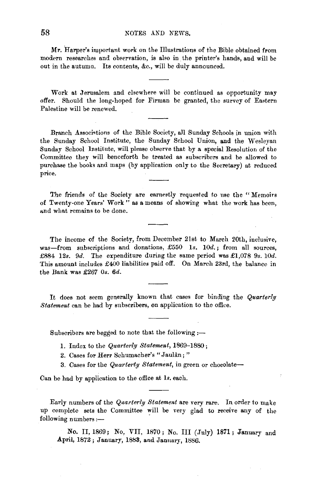Mr. Harper's important work on the Illustrations of the Bible obtained from modern researches and observation, is also in. ihe printer's hands, and will be out in the autumn. Its contents, &c., will be duly announced.

Work at Jerusalem and elsewhere will be continued as opportunity may offer. Should the long-hoped for Firman be granted, the survey of Eastern Palestine will be renewed.

Branch Associations of the Bible Society, all Sunday Schools in union with the Sunday School Institute, the Sunday School Union, and the Wesleyan Sunday School Institute, will please observe that by a special Resolution of the Committee they will henceforth be treated as subscribers and be allowed to purchase the books and maps (by application only to the Secretary) at reduced price.

The friends of the Society are earnestly requested to use the "Memoirs" of Twenty-one Years' Work " as a means of showing what the work has been, and what remains to be done.

The income of the Society, from December 21st to March 20th, inclusive, was-from subscriptions and donations, £550 1s. 10d.; from all sources, £884 12s. 9d. The expenditure during the same period was £1,078 9s. 10d. This amount includes £400 liabilities paid off. On March 23rd, the balance in the Bank was £267 *Os. 6d.* 

It does not seem generally known that cases for binding the *Quarterly Statement* can be had by subscribers, on application to the office.

Subscribers are begged to note that the following  $:$ 

- 1. Index to the *Quarterly Statement,* 1869-1880;
- 2. Cases for Herr Schumacher's "Jaulân;"
- 3. Cases for the *Quarterly Statement,* in green or chocolate-

Can be had by application to the office at 1s. each.

Early numbers of the *Quarterly Statement* are very rare. In order to make up complete sets the Committee will be very glad to receive any of the following numbers:-

No. II, 1869; No. VII, 1870; No. III (July) 1871; January and April, 1872; January, 1883, and January, 1886.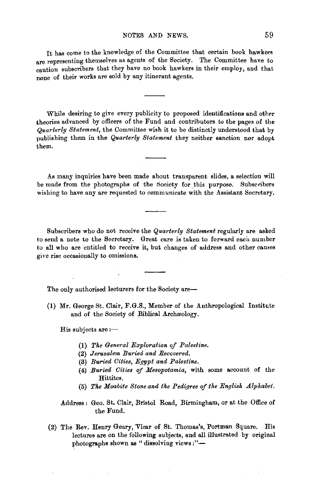It has come to the knowledge of the Committee that certain book hawkers are representing themselves as agents of the Society. The Committee have to caution subscribers that they have no book hawkers in their employ, and that none of their works are sold by any itinerant agents.

While desiring to give every publicity to proposed identifications and other theories advanced by officers of the Fund and contributors to the pages of the *Quarterly Statement,* the Committee wish it to be distinctly understood that by publishing them in the *Quarterly Statement* they neither sanction nor adopt them.

As many inquiries have been made about transparent slides, a selection will be made from the photographs of the Society for this purpose. Subscribers wishing to have any are requested to communicate with the Assistant Secretary.

Subscribers who do not receive the *Quarterly Statement* regularly are asked to send a note to the Secretary. Great care is taken to forward each number to all who are entitled to receive it, but changes of address and other causes giyc rise occasionally to omissions.

The only authorised lecturers for the Society are-

(1) Mr. George St. Clair, F.G.S., Member of the Anthropological Institute and of the Society of Biblical Archaeology.

 $H$ is subjects are: $-$ 

- (1) The General Exploration of Palestine.
- (2) *Jerusalem Buried and Recovered.*
- (3) *Buried Cities, Egypt and Palestine.*
- (4) *Buried Cities of Mesopotamia,* with some account of the Hittites.
- (5) The Moabite Stone and the Pedigree of the English Alphabet.

Address: Geo. St. Clair, Bristol Road, Birmingham, or at the Office of the Fund.

(2) The Rev. Henry Geary, 'Vicar of St. Thomas's, Portman Square. His lectures are on the following subjects, and all illustrated by original photographs shown as "dissolving views:"-